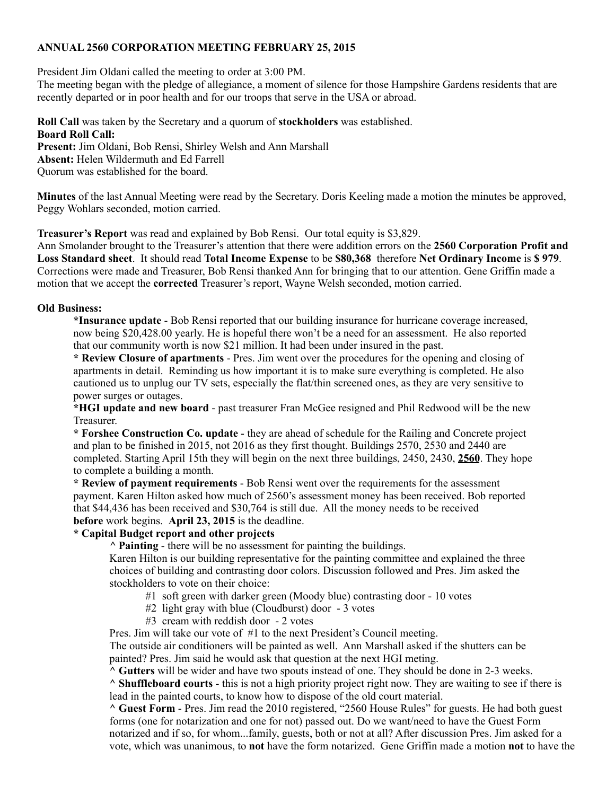## **ANNUAL 2560 CORPORATION MEETING FEBRUARY 25, 2015**

President Jim Oldani called the meeting to order at 3:00 PM.

The meeting began with the pledge of allegiance, a moment of silence for those Hampshire Gardens residents that are recently departed or in poor health and for our troops that serve in the USA or abroad.

**Roll Call** was taken by the Secretary and a quorum of **stockholders** was established. **Board Roll Call: Present:** Jim Oldani, Bob Rensi, Shirley Welsh and Ann Marshall **Absent:** Helen Wildermuth and Ed Farrell

Quorum was established for the board.

**Minutes** of the last Annual Meeting were read by the Secretary. Doris Keeling made a motion the minutes be approved, Peggy Wohlars seconded, motion carried.

**Treasurer's Report** was read and explained by Bob Rensi. Our total equity is \$3,829.

Ann Smolander brought to the Treasurer's attention that there were addition errors on the **2560 Corporation Profit and Loss Standard sheet**. It should read **Total Income Expense** to be **\$80,368** therefore **Net Ordinary Income** is **\$ 979**. Corrections were made and Treasurer, Bob Rensi thanked Ann for bringing that to our attention. Gene Griffin made a motion that we accept the **corrected** Treasurer's report, Wayne Welsh seconded, motion carried.

## **Old Business:**

**\*Insurance update** - Bob Rensi reported that our building insurance for hurricane coverage increased, now being \$20,428.00 yearly. He is hopeful there won't be a need for an assessment. He also reported that our community worth is now \$21 million. It had been under insured in the past.

**\* Review Closure of apartments** - Pres. Jim went over the procedures for the opening and closing of apartments in detail. Reminding us how important it is to make sure everything is completed. He also cautioned us to unplug our TV sets, especially the flat/thin screened ones, as they are very sensitive to power surges or outages.

**\*HGI update and new board** - past treasurer Fran McGee resigned and Phil Redwood will be the new Treasurer.

**\* Forshee Construction Co. update** - they are ahead of schedule for the Railing and Concrete project and plan to be finished in 2015, not 2016 as they first thought. Buildings 2570, 2530 and 2440 are completed. Starting April 15th they will begin on the next three buildings, 2450, 2430, **2560**. They hope to complete a building a month.

**\* Review of payment requirements** - Bob Rensi went over the requirements for the assessment payment. Karen Hilton asked how much of 2560's assessment money has been received. Bob reported that \$44,436 has been received and \$30,764 is still due. All the money needs to be received **before** work begins. **April 23, 2015** is the deadline.

## **\* Capital Budget report and other projects**

*^* **Painting** - there will be no assessment for painting the buildings.

Karen Hilton is our building representative for the painting committee and explained the three choices of building and contrasting door colors. Discussion followed and Pres. Jim asked the stockholders to vote on their choice:

- #1 soft green with darker green (Moody blue) contrasting door 10 votes
- #2 light gray with blue (Cloudburst) door 3 votes
- #3 cream with reddish door 2 votes

Pres. Jim will take our vote of #1 to the next President's Council meeting.

The outside air conditioners will be painted as well. Ann Marshall asked if the shutters can be painted? Pres. Jim said he would ask that question at the next HGI meting.

**^ Gutters** will be wider and have two spouts instead of one. They should be done in 2-3 weeks.

**^ Shuffleboard courts** - this is not a high priority project right now. They are waiting to see if there is lead in the painted courts, to know how to dispose of the old court material.

**^ Guest Form** - Pres. Jim read the 2010 registered, "2560 House Rules" for guests. He had both guest forms (one for notarization and one for not) passed out. Do we want/need to have the Guest Form notarized and if so, for whom...family, guests, both or not at all? After discussion Pres. Jim asked for a vote, which was unanimous, to **not** have the form notarized. Gene Griffin made a motion **not** to have the